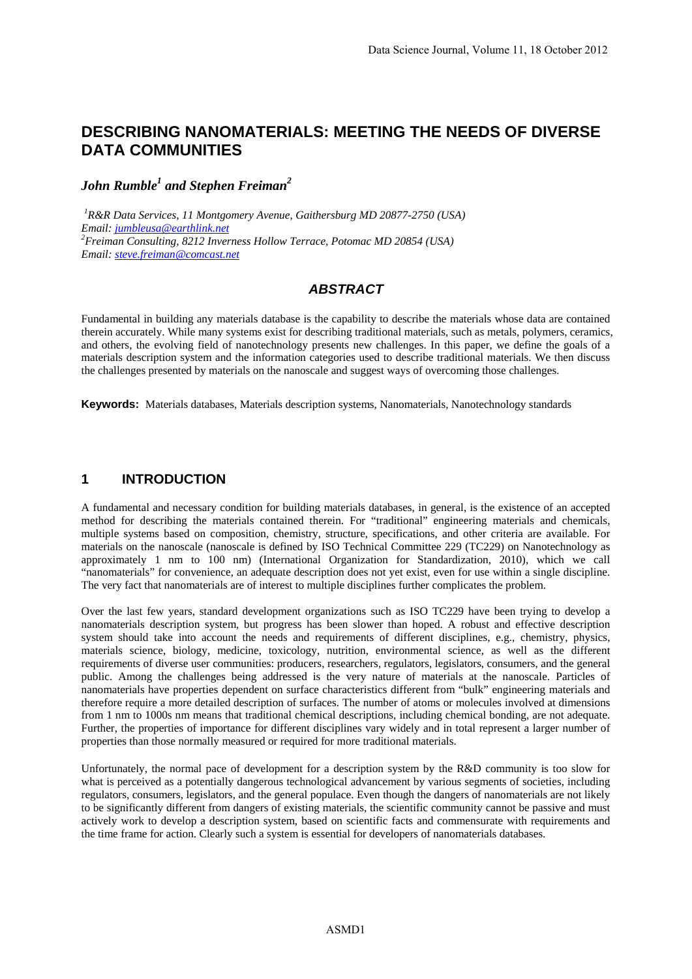# **DESCRIBING NANOMATERIALS: MEETING THE NEEDS OF DIVERSE DATA COMMUNITIES**

# $John\; Rumble<sup>1</sup>$  and Stephen Freiman<sup>2</sup>

*1 R&R Data Services, 11 Montgomery Avenue, Gaithersburg MD 20877-2750 (USA) Email: jumbleusa@earthlink.net <sup>2</sup> Freiman Consulting, 8212 Inverness Hollow Terrace, Potomac MD 20854 (USA) Email: steve.freiman@comcast.net* 

#### *ABSTRACT*

Fundamental in building any materials database is the capability to describe the materials whose data are contained therein accurately. While many systems exist for describing traditional materials, such as metals, polymers, ceramics, and others, the evolving field of nanotechnology presents new challenges. In this paper, we define the goals of a materials description system and the information categories used to describe traditional materials. We then discuss the challenges presented by materials on the nanoscale and suggest ways of overcoming those challenges.

**Keywords:** Materials databases, Materials description systems, Nanomaterials, Nanotechnology standards

#### **1 INTRODUCTION**

A fundamental and necessary condition for building materials databases, in general, is the existence of an accepted method for describing the materials contained therein. For "traditional" engineering materials and chemicals, multiple systems based on composition, chemistry, structure, specifications, and other criteria are available. For materials on the nanoscale (nanoscale is defined by ISO Technical Committee 229 (TC229) on Nanotechnology as approximately 1 nm to 100 nm) (International Organization for Standardization, 2010), which we call "nanomaterials" for convenience, an adequate description does not yet exist, even for use within a single discipline. The very fact that nanomaterials are of interest to multiple disciplines further complicates the problem.

Over the last few years, standard development organizations such as ISO TC229 have been trying to develop a nanomaterials description system, but progress has been slower than hoped. A robust and effective description system should take into account the needs and requirements of different disciplines, e.g., chemistry, physics, materials science, biology, medicine, toxicology, nutrition, environmental science, as well as the different requirements of diverse user communities: producers, researchers, regulators, legislators, consumers, and the general public. Among the challenges being addressed is the very nature of materials at the nanoscale. Particles of nanomaterials have properties dependent on surface characteristics different from "bulk" engineering materials and therefore require a more detailed description of surfaces. The number of atoms or molecules involved at dimensions from 1 nm to 1000s nm means that traditional chemical descriptions, including chemical bonding, are not adequate. Further, the properties of importance for different disciplines vary widely and in total represent a larger number of properties than those normally measured or required for more traditional materials.

Unfortunately, the normal pace of development for a description system by the R&D community is too slow for what is perceived as a potentially dangerous technological advancement by various segments of societies, including regulators, consumers, legislators, and the general populace. Even though the dangers of nanomaterials are not likely to be significantly different from dangers of existing materials, the scientific community cannot be passive and must actively work to develop a description system, based on scientific facts and commensurate with requirements and the time frame for action. Clearly such a system is essential for developers of nanomaterials databases.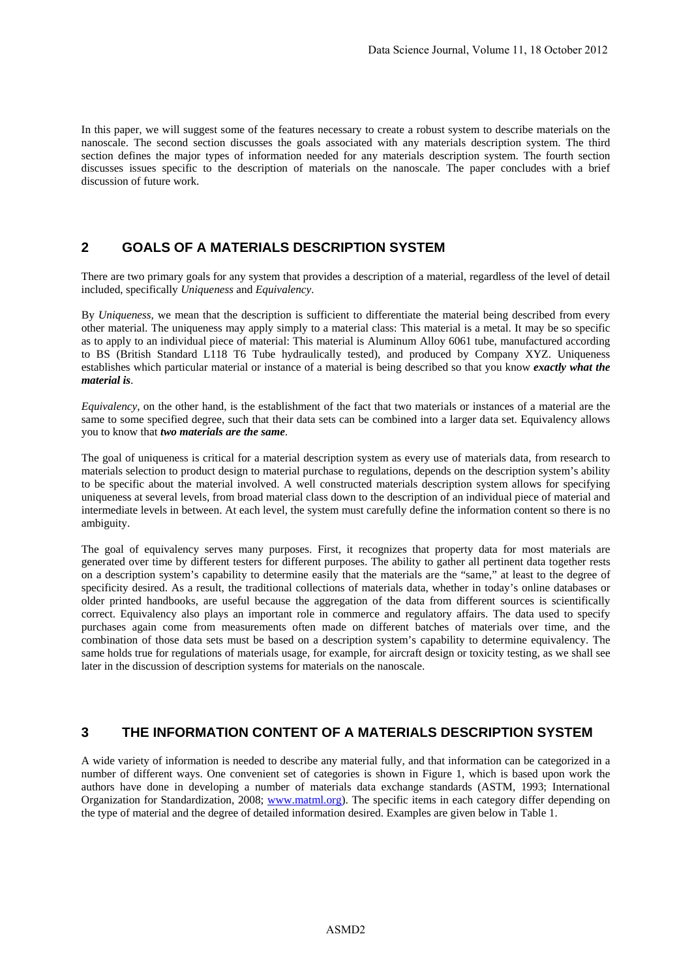In this paper, we will suggest some of the features necessary to create a robust system to describe materials on the nanoscale. The second section discusses the goals associated with any materials description system. The third section defines the major types of information needed for any materials description system. The fourth section discusses issues specific to the description of materials on the nanoscale. The paper concludes with a brief discussion of future work.

## **2 GOALS OF A MATERIALS DESCRIPTION SYSTEM**

There are two primary goals for any system that provides a description of a material, regardless of the level of detail included, specifically *Uniqueness* and *Equivalency*.

By *Uniqueness,* we mean that the description is sufficient to differentiate the material being described from every other material. The uniqueness may apply simply to a material class: This material is a metal. It may be so specific as to apply to an individual piece of material: This material is Aluminum Alloy 6061 tube, manufactured according to BS (British Standard L118 T6 Tube hydraulically tested), and produced by Company XYZ. Uniqueness establishes which particular material or instance of a material is being described so that you know *exactly what the material is*.

*Equivalency*, on the other hand, is the establishment of the fact that two materials or instances of a material are the same to some specified degree, such that their data sets can be combined into a larger data set. Equivalency allows you to know that *two materials are the same*.

The goal of uniqueness is critical for a material description system as every use of materials data, from research to materials selection to product design to material purchase to regulations, depends on the description system's ability to be specific about the material involved. A well constructed materials description system allows for specifying uniqueness at several levels, from broad material class down to the description of an individual piece of material and intermediate levels in between. At each level, the system must carefully define the information content so there is no ambiguity.

The goal of equivalency serves many purposes. First, it recognizes that property data for most materials are generated over time by different testers for different purposes. The ability to gather all pertinent data together rests on a description system's capability to determine easily that the materials are the "same," at least to the degree of specificity desired. As a result, the traditional collections of materials data, whether in today's online databases or older printed handbooks, are useful because the aggregation of the data from different sources is scientifically correct. Equivalency also plays an important role in commerce and regulatory affairs. The data used to specify purchases again come from measurements often made on different batches of materials over time, and the combination of those data sets must be based on a description system's capability to determine equivalency. The same holds true for regulations of materials usage, for example, for aircraft design or toxicity testing, as we shall see later in the discussion of description systems for materials on the nanoscale.

# **3 THE INFORMATION CONTENT OF A MATERIALS DESCRIPTION SYSTEM**

A wide variety of information is needed to describe any material fully, and that information can be categorized in a number of different ways. One convenient set of categories is shown in Figure 1, which is based upon work the authors have done in developing a number of materials data exchange standards (ASTM, 1993; International Organization for Standardization, 2008; www.matml.org). The specific items in each category differ depending on the type of material and the degree of detailed information desired. Examples are given below in Table 1.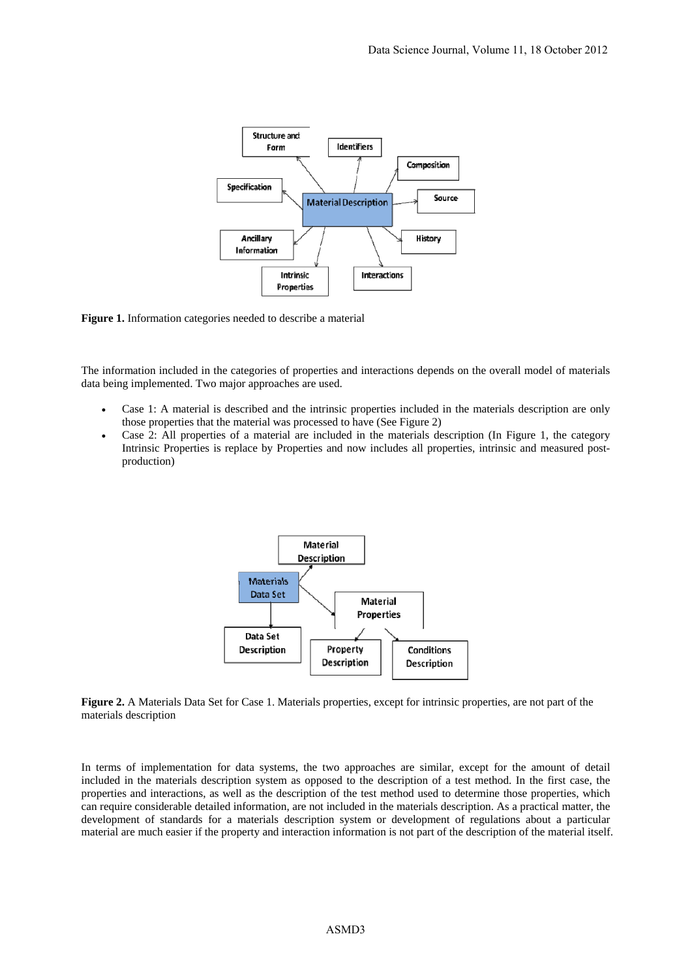

**Figure 1.** Information categories needed to describe a material

The information included in the categories of properties and interactions depends on the overall model of materials data being implemented. Two major approaches are used.

- Case 1: A material is described and the intrinsic properties included in the materials description are only those properties that the material was processed to have (See Figure 2)
- Case 2: All properties of a material are included in the materials description (In Figure 1, the category Intrinsic Properties is replace by Properties and now includes all properties, intrinsic and measured postproduction)



**Figure 2.** A Materials Data Set for Case 1. Materials properties, except for intrinsic properties, are not part of the materials description

In terms of implementation for data systems, the two approaches are similar, except for the amount of detail included in the materials description system as opposed to the description of a test method. In the first case, the properties and interactions, as well as the description of the test method used to determine those properties, which can require considerable detailed information, are not included in the materials description. As a practical matter, the development of standards for a materials description system or development of regulations about a particular material are much easier if the property and interaction information is not part of the description of the material itself.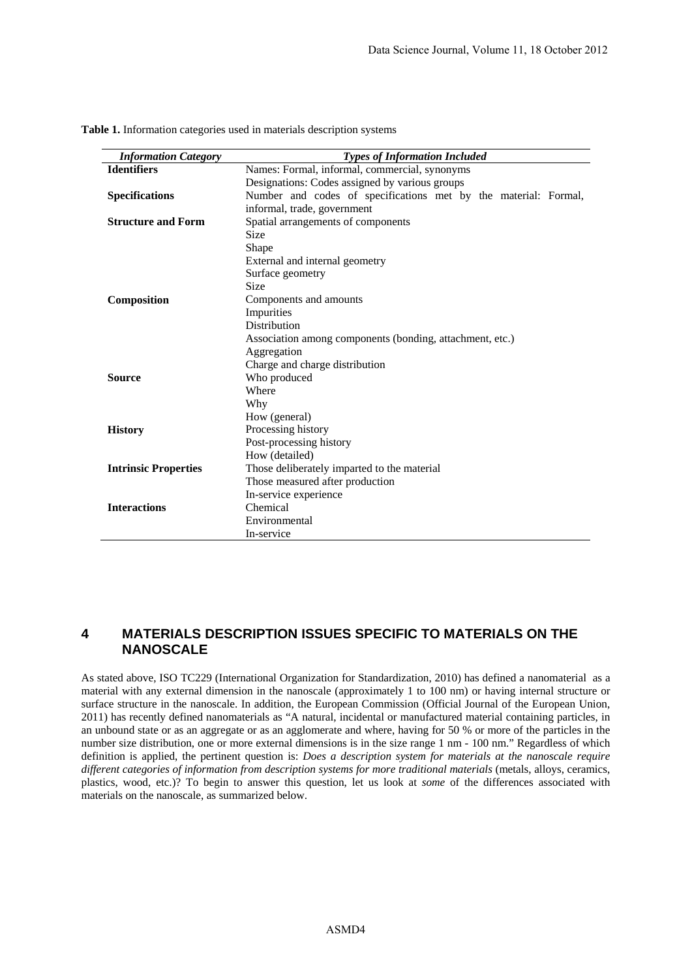| <b>Information Category</b> | <b>Types of Information Included</b>                            |
|-----------------------------|-----------------------------------------------------------------|
| <b>Identifiers</b>          | Names: Formal, informal, commercial, synonyms                   |
|                             | Designations: Codes assigned by various groups                  |
| <b>Specifications</b>       | Number and codes of specifications met by the material: Formal, |
|                             | informal, trade, government                                     |
| <b>Structure and Form</b>   | Spatial arrangements of components                              |
|                             | <b>Size</b>                                                     |
|                             | Shape                                                           |
|                             | External and internal geometry                                  |
|                             | Surface geometry                                                |
|                             | <b>Size</b>                                                     |
| Composition                 | Components and amounts                                          |
|                             | Impurities                                                      |
|                             | Distribution                                                    |
|                             | Association among components (bonding, attachment, etc.)        |
|                             | Aggregation                                                     |
|                             | Charge and charge distribution                                  |
| <b>Source</b>               | Who produced                                                    |
|                             | Where                                                           |
|                             | Why                                                             |
|                             | How (general)                                                   |
| <b>History</b>              | Processing history                                              |
|                             | Post-processing history                                         |
|                             | How (detailed)                                                  |
| <b>Intrinsic Properties</b> | Those deliberately imparted to the material                     |
|                             | Those measured after production                                 |
|                             | In-service experience                                           |
| <b>Interactions</b>         | Chemical                                                        |
|                             | Environmental                                                   |
|                             | In-service                                                      |

**Table 1.** Information categories used in materials description systems

### **4 MATERIALS DESCRIPTION ISSUES SPECIFIC TO MATERIALS ON THE NANOSCALE**

As stated above, ISO TC229 (International Organization for Standardization, 2010) has defined a nanomaterial as a material with any external dimension in the nanoscale (approximately 1 to 100 nm) or having internal structure or surface structure in the nanoscale. In addition, the European Commission (Official Journal of the European Union, 2011) has recently defined nanomaterials as "A natural, incidental or manufactured material containing particles, in an unbound state or as an aggregate or as an agglomerate and where, having for 50 % or more of the particles in the number size distribution, one or more external dimensions is in the size range 1 nm - 100 nm." Regardless of which definition is applied, the pertinent question is: *Does a description system for materials at the nanoscale require different categories of information from description systems for more traditional materials* (metals, alloys, ceramics, plastics, wood, etc.)? To begin to answer this question, let us look at *some* of the differences associated with materials on the nanoscale, as summarized below.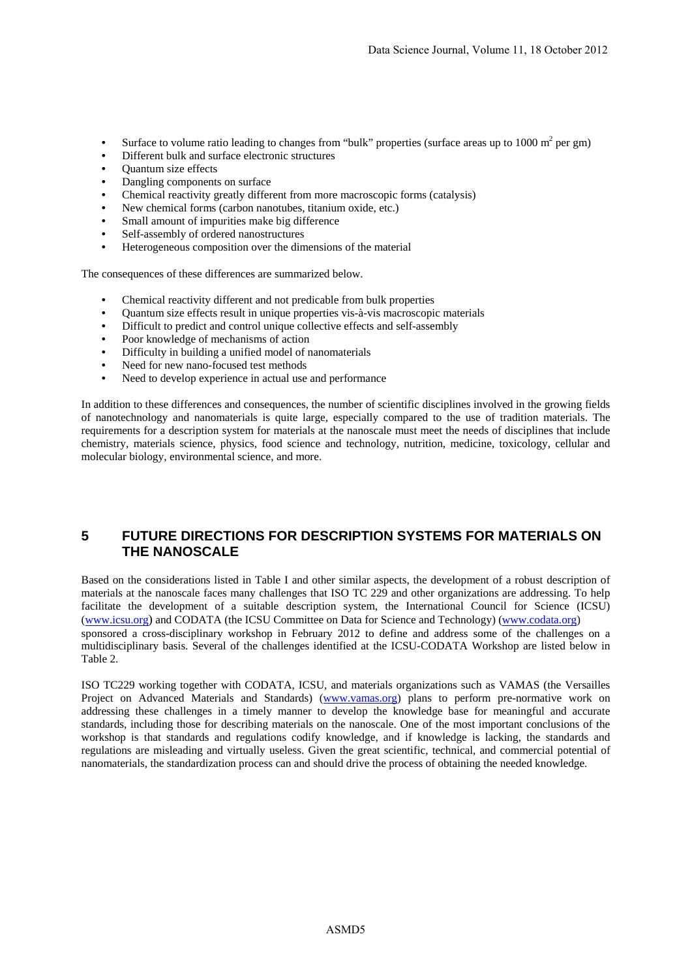- Surface to volume ratio leading to changes from "bulk" properties (surface areas up to  $1000 \text{ m}^2$  per gm)
- Different bulk and surface electronic structures
- Quantum size effects
- Dangling components on surface
- Chemical reactivity greatly different from more macroscopic forms (catalysis)
- New chemical forms (carbon nanotubes, titanium oxide, etc.)
- Small amount of impurities make big difference
- Self-assembly of ordered nanostructures
- Heterogeneous composition over the dimensions of the material

The consequences of these differences are summarized below.

- Chemical reactivity different and not predicable from bulk properties
- Quantum size effects result in unique properties vis-à-vis macroscopic materials
- Difficult to predict and control unique collective effects and self-assembly
- Poor knowledge of mechanisms of action
- Difficulty in building a unified model of nanomaterials
- Need for new nano-focused test methods
- Need to develop experience in actual use and performance

In addition to these differences and consequences, the number of scientific disciplines involved in the growing fields of nanotechnology and nanomaterials is quite large, especially compared to the use of tradition materials. The requirements for a description system for materials at the nanoscale must meet the needs of disciplines that include chemistry, materials science, physics, food science and technology, nutrition, medicine, toxicology, cellular and molecular biology, environmental science, and more.

## **5 FUTURE DIRECTIONS FOR DESCRIPTION SYSTEMS FOR MATERIALS ON THE NANOSCALE**

Based on the considerations listed in Table I and other similar aspects, the development of a robust description of materials at the nanoscale faces many challenges that ISO TC 229 and other organizations are addressing. To help facilitate the development of a suitable description system, the International Council for Science (ICSU) (www.icsu.org) and CODATA (the ICSU Committee on Data for Science and Technology) (www.codata.org)

sponsored a cross-disciplinary workshop in February 2012 to define and address some of the challenges on a multidisciplinary basis. Several of the challenges identified at the ICSU-CODATA Workshop are listed below in Table 2.

ISO TC229 working together with CODATA, ICSU, and materials organizations such as VAMAS (the Versailles Project on Advanced Materials and Standards) (www.vamas.org) plans to perform pre-normative work on addressing these challenges in a timely manner to develop the knowledge base for meaningful and accurate standards, including those for describing materials on the nanoscale. One of the most important conclusions of the workshop is that standards and regulations codify knowledge, and if knowledge is lacking, the standards and regulations are misleading and virtually useless. Given the great scientific, technical, and commercial potential of nanomaterials, the standardization process can and should drive the process of obtaining the needed knowledge.